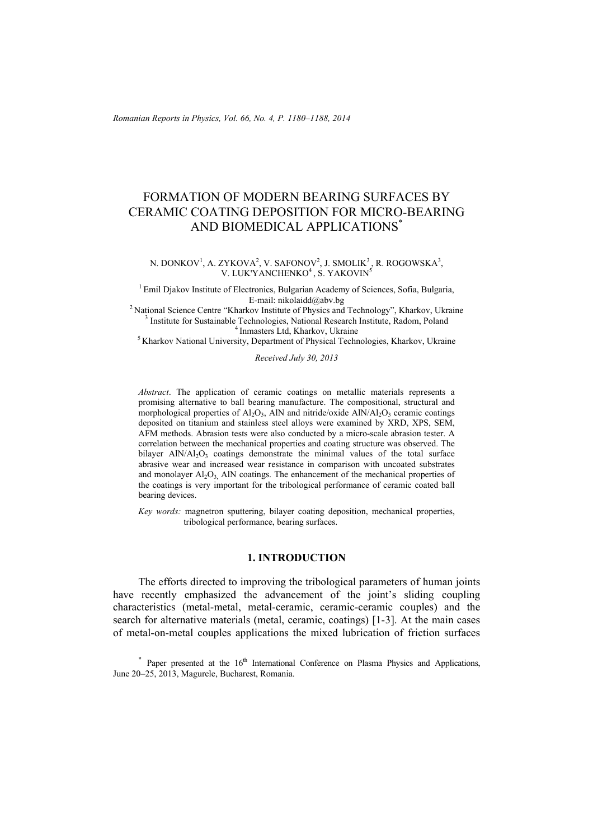*Romanian Reports in Physics, Vol. 66, No. 4, P. 1180–1188, 2014*

# FORMATION OF MODERN BEARING SURFACES BY CERAMIC COATING DEPOSITION FOR MICRO-BEARING AND BIOMEDICAL APPLICATIONS\*

N. DONKOV<sup>1</sup>, A. ZYKOVA<sup>2</sup>, V. SAFONOV<sup>2</sup>, J. SMOLIK<sup>3</sup>, R. ROGOWSKA<sup>3</sup>, V. LUK'YANCHENKO<sup>4</sup>, S. YAKOVIN<sup>5</sup>

<sup>1</sup> Emil Djakov Institute of Electronics, Bulgarian Academy of Sciences, Sofia, Bulgaria,<br>E-mail: nikolaidd@aby.bg

<sup>2</sup> National Science Centre "Kharkov Institute of Physics and Technology", Kharkov, Ukraine  $3$  Institute for Sustainable Technologies, National Research Institute, Radom, Poland <sup>4</sup> Inmasters Ltd, Kharkov, Ukraine<br><sup>5</sup> Kharkov National University, Department of Physical Technologies, Kharkov, Ukraine

*Received July 30, 2013* 

*Abstract*. The application of ceramic coatings on metallic materials represents a promising alternative to ball bearing manufacture. The compositional, structural and morphological properties of  $Al_2O_3$ , AlN and nitride/oxide  $AlN/Al_2O_3$  ceramic coatings deposited on titanium and stainless steel alloys were examined by XRD, XPS, SEM, AFM methods. Abrasion tests were also conducted by a micro-scale abrasion tester. A correlation between the mechanical properties and coating structure was observed. The bilayer  $AlN/Al<sub>2</sub>O<sub>3</sub>$  coatings demonstrate the minimal values of the total surface abrasive wear and increased wear resistance in comparison with uncoated substrates and monolayer  $Al_2O_3$ . AlN coatings. The enhancement of the mechanical properties of the coatings is very important for the tribological performance of ceramic coated ball bearing devices.

*Key words:* magnetron sputtering, bilayer coating deposition, mechanical properties, tribological performance, bearing surfaces.

#### **1. INTRODUCTION**

The efforts directed to improving the tribological parameters of human joints have recently emphasized the advancement of the joint's sliding coupling characteristics (metal-metal, metal-ceramic, ceramic-ceramic couples) and the search for alternative materials (metal, ceramic, coatings) [1-3]. At the main cases of metal-on-metal couples applications the mixed lubrication of friction surfaces

 $*$  Paper presented at the 16<sup>th</sup> International Conference on Plasma Physics and Applications, June 20–25, 2013, Magurele, Bucharest, Romania.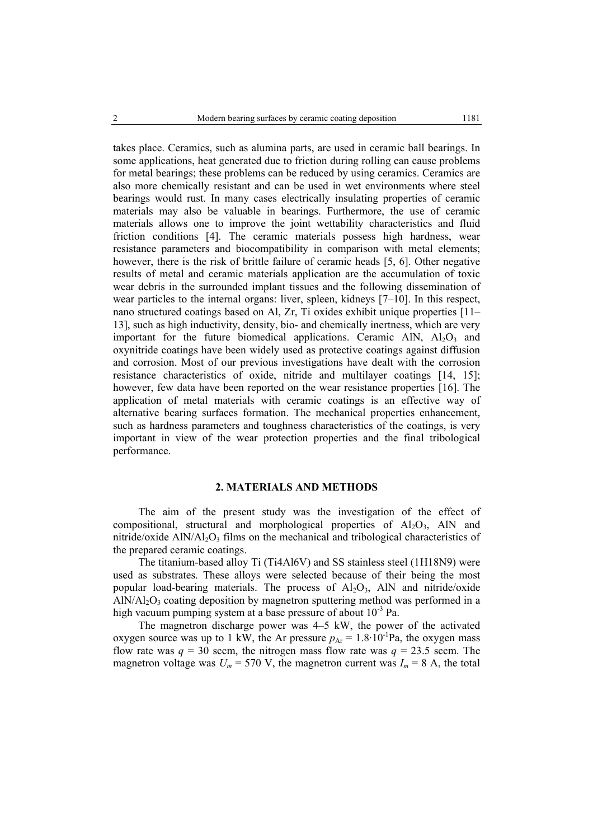takes place. Ceramics, such as alumina parts, are used in ceramic ball bearings. In some applications, heat generated due to friction during rolling can cause problems for metal bearings; these problems can be reduced by using ceramics. Ceramics are also more chemically resistant and can be used in wet environments where steel bearings would rust. In many cases electrically insulating properties of ceramic materials may also be valuable in bearings. Furthermore, the use of ceramic materials allows one to improve the joint wettability characteristics and fluid friction conditions [4]. The ceramic materials possess high hardness, wear resistance parameters and biocompatibility in comparison with metal elements; however, there is the risk of brittle failure of ceramic heads [5, 6]. Other negative results of metal and ceramic materials application are the accumulation of toxic wear debris in the surrounded implant tissues and the following dissemination of wear particles to the internal organs: liver, spleen, kidneys [7–10]. In this respect, nano structured coatings based on Al, Zr, Ti oxides exhibit unique properties [11– 13], such as high inductivity, density, bio- and chemically inertness, which are very important for the future biomedical applications. Ceramic AlN,  $Al_2O_3$  and oxynitride coatings have been widely used as protective coatings against diffusion and corrosion. Most of our previous investigations have dealt with the corrosion resistance characteristics of oxide, nitride and multilayer coatings [14, 15]; however, few data have been reported on the wear resistance properties [16]. The application of metal materials with ceramic coatings is an effective way of alternative bearing surfaces formation. The mechanical properties enhancement, such as hardness parameters and toughness characteristics of the coatings, is very important in view of the wear protection properties and the final tribological performance.

### **2. MATERIALS AND METHODS**

The aim of the present study was the investigation of the effect of compositional, structural and morphological properties of  $A1_2O_3$ , AlN and nitride/oxide  $\text{AlN}/\text{Al}_2\text{O}_3$  films on the mechanical and tribological characteristics of the prepared ceramic coatings.

The titanium-based alloy Ti (Ti4Al6V) and SS stainless steel (1H18N9) were used as substrates. These alloys were selected because of their being the most popular load-bearing materials. The process of  $Al_2O_3$ , AlN and nitride/oxide  $AIN/A<sub>12</sub>O<sub>3</sub>$  coating deposition by magnetron sputtering method was performed in a high vacuum pumping system at a base pressure of about  $10^{-3}$  Pa.

The magnetron discharge power was 4–5 kW, the power of the activated oxygen source was up to 1 kW, the Ar pressure  $p_{Ar} = 1.8 \cdot 10^{-1}$ Pa, the oxygen mass flow rate was  $q = 30$  sccm, the nitrogen mass flow rate was  $q = 23.5$  sccm. The magnetron voltage was  $U_m$  = 570 V, the magnetron current was  $I_m$  = 8 A, the total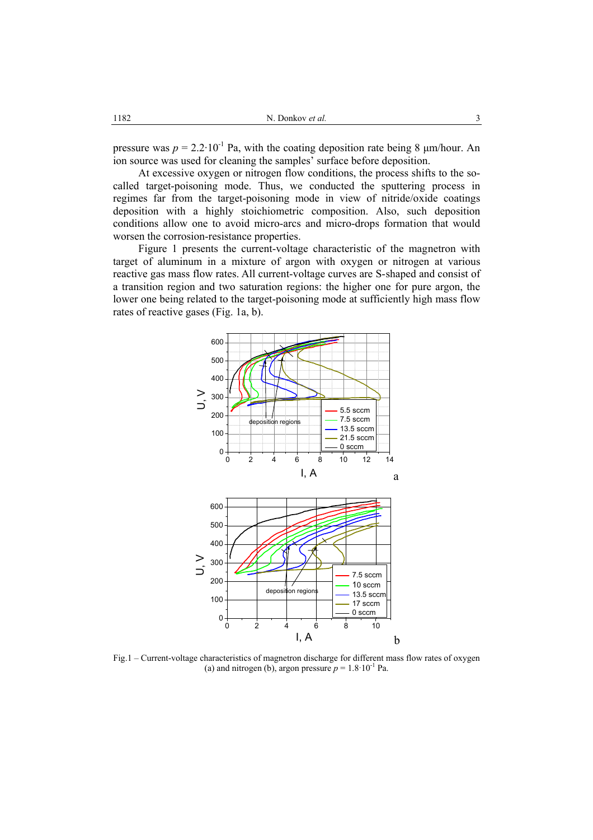pressure was  $p = 2.2 \cdot 10^{-1}$  Pa, with the coating deposition rate being 8  $\mu$ m/hour. An ion source was used for cleaning the samples' surface before deposition.

At excessive oxygen or nitrogen flow conditions, the process shifts to the socalled target-poisoning mode. Thus, we conducted the sputtering process in regimes far from the target-poisoning mode in view of nitride/oxide coatings deposition with a highly stoichiometric composition. Also, such deposition conditions allow one to avoid micro-arcs and micro-drops formation that would worsen the corrosion-resistance properties.

Figure 1 presents the current-voltage characteristic of the magnetron with target of aluminum in a mixture of argon with oxygen or nitrogen at various reactive gas mass flow rates. All current-voltage curves are S-shaped and consist of a transition region and two saturation regions: the higher one for pure argon, the lower one being related to the target-poisoning mode at sufficiently high mass flow rates of reactive gases (Fig. 1a, b).



Fig.1 – Current-voltage characteristics of magnetron discharge for different mass flow rates of oxygen (a) and nitrogen (b), argon pressure  $p = 1.8 \cdot 10^{-1}$  Pa.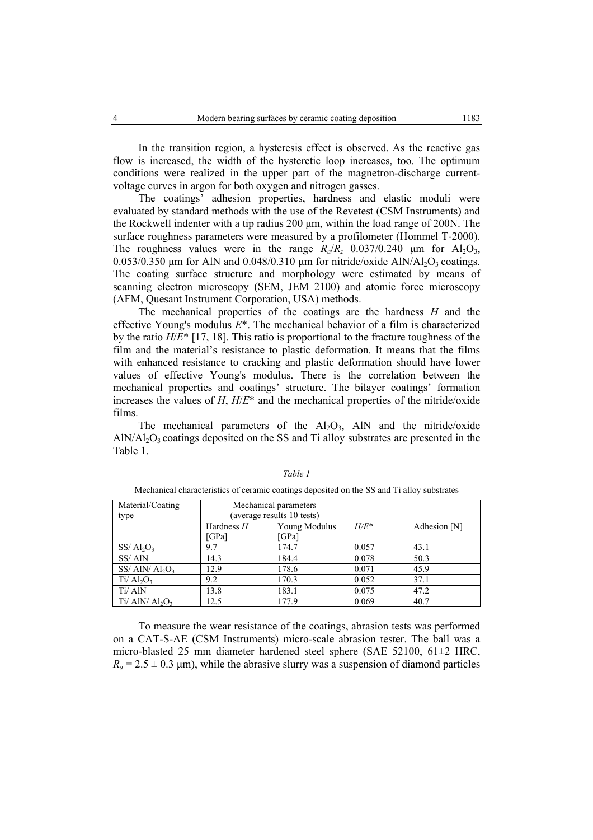In the transition region, a hysteresis effect is observed. As the reactive gas flow is increased, the width of the hysteretic loop increases, too. The optimum conditions were realized in the upper part of the magnetron-discharge currentvoltage curves in argon for both oxygen and nitrogen gasses.

The coatings' adhesion properties, hardness and elastic moduli were evaluated by standard methods with the use of the Revetest (CSM Instruments) and the Rockwell indenter with a tip radius 200 µm, within the load range of 200N. The surface roughness parameters were measured by a profilometer (Hommel T-2000). The roughness values were in the range  $R_a/R_z$  0.037/0.240  $\mu$ m for Al<sub>2</sub>O<sub>3</sub>, 0.053/0.350  $\mu$ m for AlN and 0.048/0.310  $\mu$ m for nitride/oxide AlN/Al<sub>2</sub>O<sub>3</sub> coatings. The coating surface structure and morphology were estimated by means of scanning electron microscopy (SEM, JEM 2100) and atomic force microscopy (AFM, Quesant Instrument Corporation, USA) methods.

The mechanical properties of the coatings are the hardness *H* and the effective Young's modulus *E*\*. The mechanical behavior of a film is characterized by the ratio *H*/*E*\* [17, 18]. This ratio is proportional to the fracture toughness of the film and the material's resistance to plastic deformation. It means that the films with enhanced resistance to cracking and plastic deformation should have lower values of effective Young's modulus. There is the correlation between the mechanical properties and coatings' structure. The bilayer coatings' formation increases the values of *H*,  $H/E^*$  and the mechanical properties of the nitride/oxide films.

The mechanical parameters of the  $Al_2O_3$ , AlN and the nitride/oxide  $AIN/AI<sub>2</sub>O<sub>3</sub>$  coatings deposited on the SS and Ti alloy substrates are presented in the Table 1.

| Material/Coating                          | Mechanical parameters      |               |         |              |
|-------------------------------------------|----------------------------|---------------|---------|--------------|
| type                                      | (average results 10 tests) |               |         |              |
|                                           | Hardness $H$               | Young Modulus | $H/E^*$ | Adhesion [N] |
|                                           | <b>GPal</b>                | [GPa]         |         |              |
| $SS/ Al_2O_3$                             | 9.7                        | 174.7         | 0.057   | 43.1         |
| SS/AlN                                    | 14.3                       | 184.4         | 0.078   | 50.3         |
| $SS/$ AlN/ Al <sub>2</sub> O <sub>3</sub> | 12.9                       | 178.6         | 0.071   | 45.9         |
| $Ti/ Al_2O_3$                             | 9.2                        | 170.3         | 0.052   | 37.1         |
| Ti/ AlN                                   | 13.8                       | 183.1         | 0.075   | 47.2         |
| Ti/ AlN/ $Al_2O_3$                        | 12.5                       | 177.9         | 0.069   | 40.7         |

*Table 1* 

Mechanical characteristics of ceramic coatings deposited on the SS and Ti alloy substrates

To measure the wear resistance of the coatings, abrasion tests was performed on a CAT-S-AE (CSM Instruments) micro-scale abrasion tester. The ball was a micro-blasted 25 mm diameter hardened steel sphere (SAE 52100, 61±2 HRC,  $R_a = 2.5 \pm 0.3$  µm), while the abrasive slurry was a suspension of diamond particles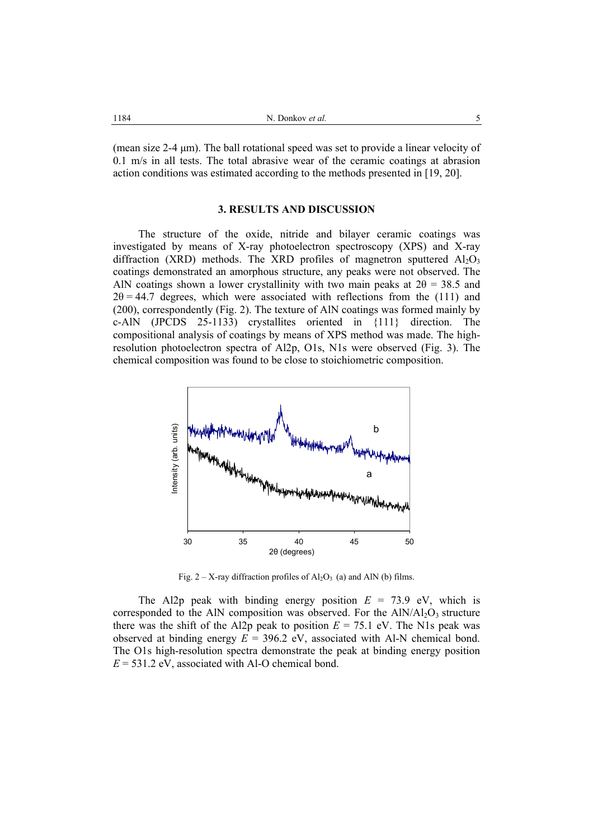(mean size  $2-4 \mu m$ ). The ball rotational speed was set to provide a linear velocity of 0.1 m/s in all tests. The total abrasive wear of the ceramic coatings at abrasion action conditions was estimated according to the methods presented in [19, 20].

#### **3. RESULTS AND DISCUSSION**

The structure of the oxide, nitride and bilayer ceramic coatings was investigated by means of X-ray photoelectron spectroscopy (XPS) and X-ray diffraction (XRD) methods. The XRD profiles of magnetron sputtered  $Al_2O_3$ coatings demonstrated an amorphous structure, any peaks were not observed. The AlN coatings shown a lower crystallinity with two main peaks at  $2\theta = 38.5$  and  $2\theta = 44.7$  degrees, which were associated with reflections from the (111) and (200), correspondently (Fig. 2). The texture of AlN coatings was formed mainly by c-AlN (JPCDS 25-1133) crystallites oriented in {111} direction. The compositional analysis of coatings by means of XPS method was made. The highresolution photoelectron spectra of Al2p, O1s, N1s were observed (Fig. 3). The chemical composition was found to be close to stoichiometric composition.



Fig.  $2 - X$ -ray diffraction profiles of  $A<sub>2</sub>O<sub>3</sub>$  (a) and AlN (b) films.

The Al2p peak with binding energy position  $E = 73.9$  eV, which is corresponded to the AlN composition was observed. For the  $AlN/Al_2O_3$  structure there was the shift of the Al2p peak to position  $E = 75.1$  eV. The N1s peak was observed at binding energy  $E = 396.2$  eV, associated with Al-N chemical bond. The O1s high-resolution spectra demonstrate the peak at binding energy position  $E = 531.2$  eV, associated with Al-O chemical bond.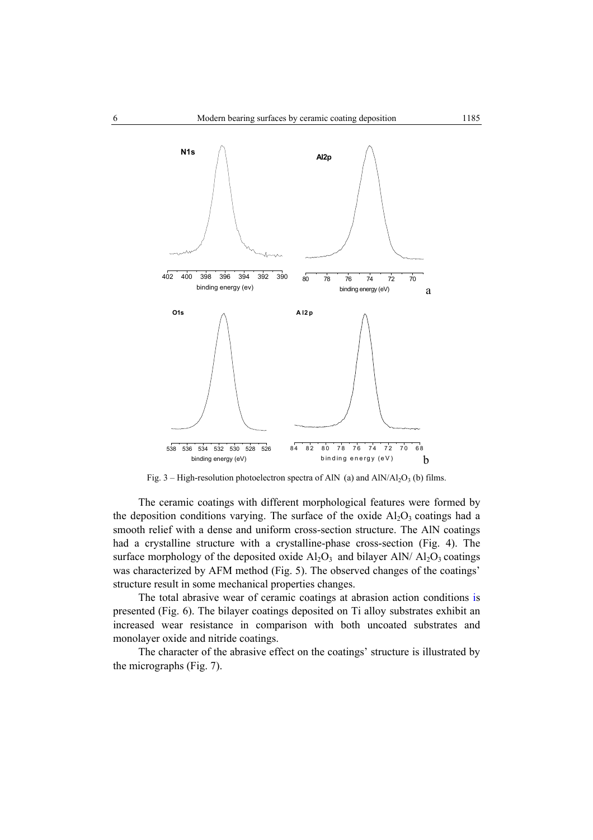

Fig. 3 – High-resolution photoelectron spectra of AlN (a) and AlN/Al<sub>2</sub>O<sub>3</sub> (b) films.

The ceramic coatings with different morphological features were formed by the deposition conditions varying. The surface of the oxide  $Al_2O_3$  coatings had a smooth relief with a dense and uniform cross-section structure. The AlN coatings had a crystalline structure with a crystalline-phase cross-section (Fig. 4). The surface morphology of the deposited oxide  $A_2O_3$  and bilayer AlN/  $A_2O_3$  coatings was characterized by AFM method (Fig. 5). The observed changes of the coatings' structure result in some mechanical properties changes.

The total abrasive wear of ceramic coatings at abrasion action conditions is presented (Fig. 6). The bilayer coatings deposited on Ti alloy substrates exhibit an increased wear resistance in comparison with both uncoated substrates and monolayer oxide and nitride coatings.

The character of the abrasive effect on the coatings' structure is illustrated by the micrographs (Fig. 7).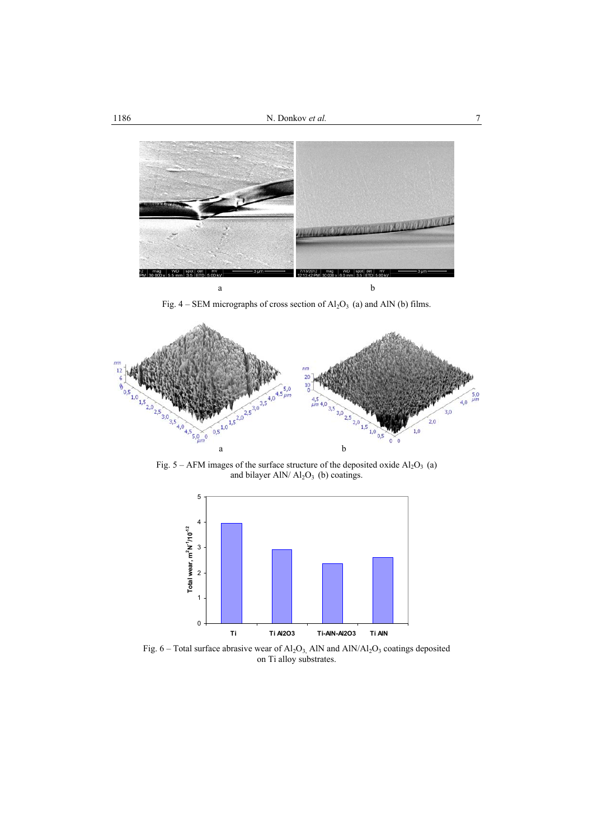

Fig.  $4 - SEM$  micrographs of cross section of  $Al_2O_3$  (a) and AlN (b) films.



Fig.  $5 - AFM$  images of the surface structure of the deposited oxide  $Al_2O_3$  (a) and bilayer AlN/ $\text{Al}_2\text{O}_3$  (b) coatings.



Fig. 6 – Total surface abrasive wear of  $Al_2O_3$ , AlN and AlN/Al<sub>2</sub>O<sub>3</sub> coatings deposited on Ti alloy substrates.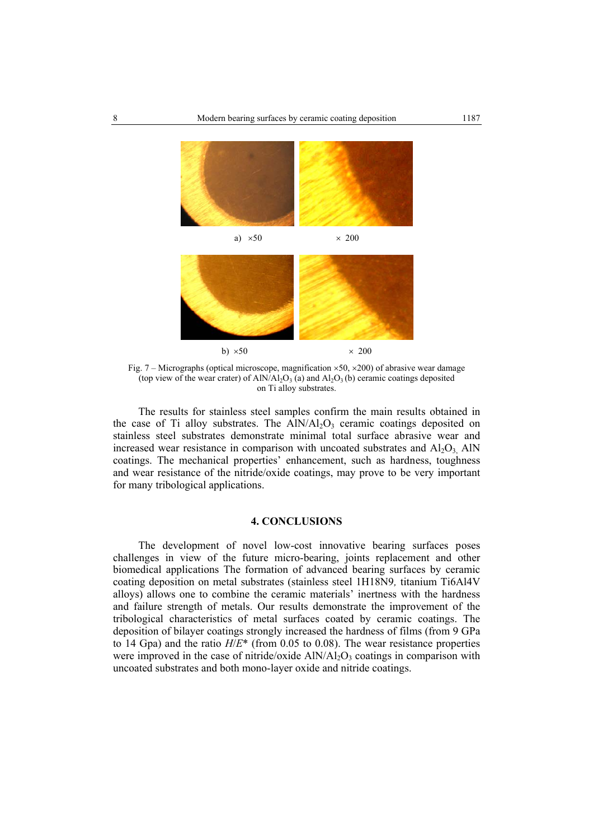

Fig. 7 – Micrographs (optical microscope, magnification  $\times$  50,  $\times$  200) of abrasive wear damage (top view of the wear crater) of  $AlN/Al_2O_3$  (a) and  $Al_2O_3$  (b) ceramic coatings deposited on Ti alloy substrates.

The results for stainless steel samples confirm the main results obtained in the case of Ti alloy substrates. The  $AIN/AI_2O_3$  ceramic coatings deposited on stainless steel substrates demonstrate minimal total surface abrasive wear and increased wear resistance in comparison with uncoated substrates and  $A I_2 O_3$ . AlN coatings. The mechanical properties' enhancement, such as hardness, toughness and wear resistance of the nitride/oxide coatings, may prove to be very important for many tribological applications.

## **4. CONCLUSIONS**

The development of novel low-cost innovative bearing surfaces poses challenges in view of the future micro-bearing, joints replacement and other biomedical applications The formation of advanced bearing surfaces by ceramic coating deposition on metal substrates (stainless steel 1H18N9*,* titanium Ti6Al4V alloys) allows one to combine the ceramic materials' inertness with the hardness and failure strength of metals. Our results demonstrate the improvement of the tribological characteristics of metal surfaces coated by ceramic coatings. The deposition of bilayer coatings strongly increased the hardness of films (from 9 GPa to 14 Gpa) and the ratio *H*/*E*\* (from 0.05 to 0.08). The wear resistance properties were improved in the case of nitride/oxide  $AlN/Al<sub>2</sub>O<sub>3</sub>$  coatings in comparison with uncoated substrates and both mono-layer oxide and nitride coatings.